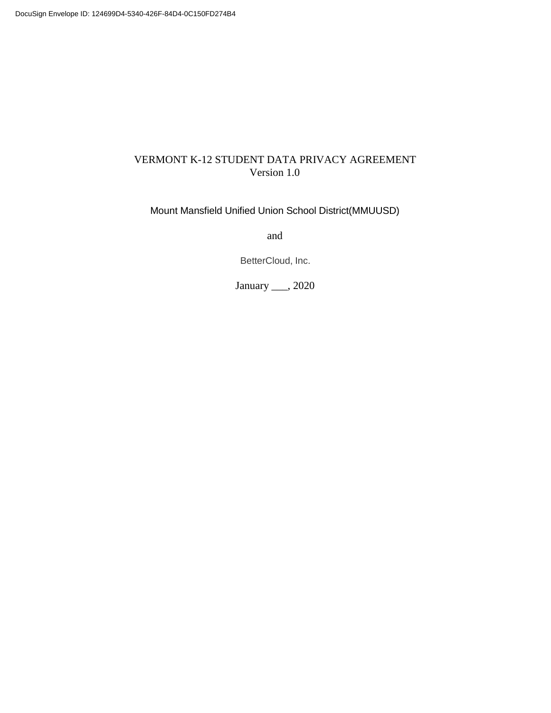# VERMONT K-12 STUDENT DATA PRIVACY AGREEMENT Version 1.0

# Mount Mansfield Unified Union School District(MMUUSD)

and

BetterCloud, Inc.

January \_\_\_, 2020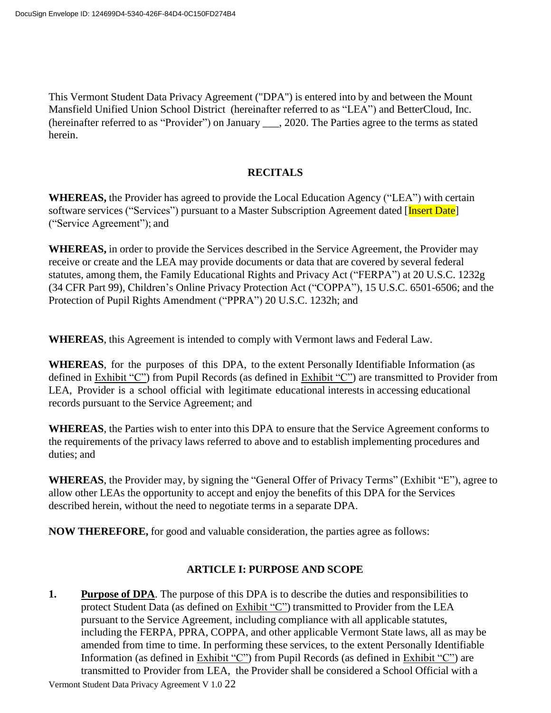This Vermont Student Data Privacy Agreement ("DPA") is entered into by and between the Mount Mansfield Unified Union School District (hereinafter referred to as "LEA") and BetterCloud, Inc. (hereinafter referred to as "Provider") on January \_\_\_, 2020. The Parties agree to the terms as stated herein.

## **RECITALS**

**WHEREAS,** the Provider has agreed to provide the Local Education Agency ("LEA") with certain software services ("Services") pursuant to a Master Subscription Agreement dated [Insert Date] ("Service Agreement"); and

**WHEREAS,** in order to provide the Services described in the Service Agreement, the Provider may receive or create and the LEA may provide documents or data that are covered by several federal statutes, among them, the Family Educational Rights and Privacy Act ("FERPA") at 20 U.S.C. 1232g (34 CFR Part 99), Children's Online Privacy Protection Act ("COPPA"), 15 U.S.C. 6501-6506; and the Protection of Pupil Rights Amendment ("PPRA") 20 U.S.C. 1232h; and

**WHEREAS**, this Agreement is intended to comply with Vermont laws and Federal Law.

**WHEREAS**, for the purposes of this DPA, to the extent Personally Identifiable Information (as defined in Exhibit "C") from Pupil Records (as defined in Exhibit "C") are transmitted to Provider from LEA, Provider is a school official with legitimate educational interests in accessing educational records pursuant to the Service Agreement; and

**WHEREAS**, the Parties wish to enter into this DPA to ensure that the Service Agreement conforms to the requirements of the privacy laws referred to above and to establish implementing procedures and duties; and

**WHEREAS**, the Provider may, by signing the "General Offer of Privacy Terms" (Exhibit "E"), agree to allow other LEAs the opportunity to accept and enjoy the benefits of this DPA for the Services described herein, without the need to negotiate terms in a separate DPA.

**NOW THEREFORE,** for good and valuable consideration, the parties agree as follows:

### **ARTICLE I: PURPOSE AND SCOPE**

Vermont Student Data Privacy Agreement V 1.0 22 **1. Purpose of DPA**. The purpose of this DPA is to describe the duties and responsibilities to protect Student Data (as defined on Exhibit "C") transmitted to Provider from the LEA pursuant to the Service Agreement, including compliance with all applicable statutes, including the FERPA, PPRA, COPPA, and other applicable Vermont State laws, all as may be amended from time to time. In performing these services, to the extent Personally Identifiable Information (as defined in Exhibit "C") from Pupil Records (as defined in Exhibit "C") are transmitted to Provider from LEA, the Provider shall be considered a School Official with a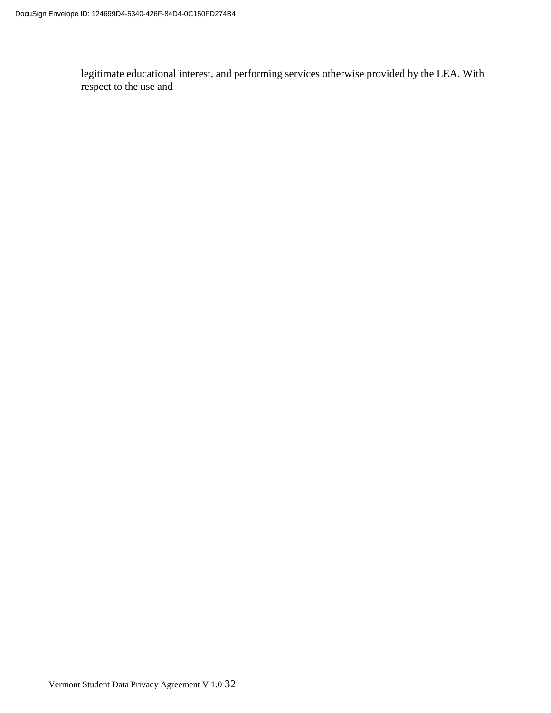legitimate educational interest, and performing services otherwise provided by the LEA. With respect to the use and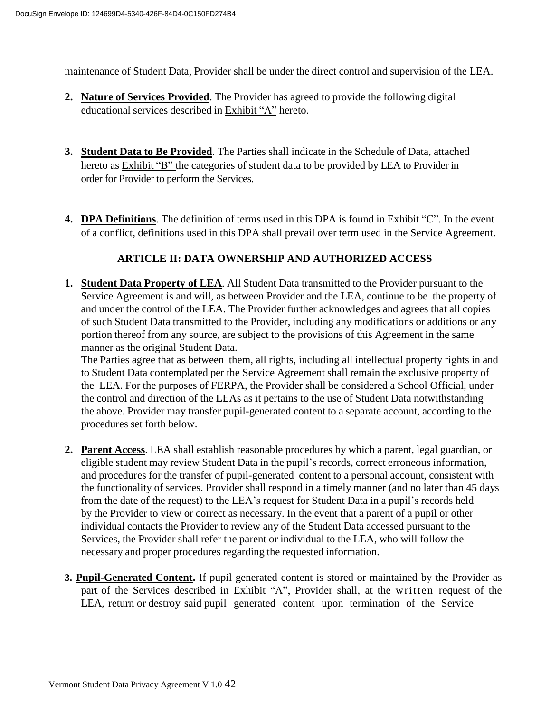maintenance of Student Data, Provider shall be under the direct control and supervision of the LEA.

- **2. Nature of Services Provided**. The Provider has agreed to provide the following digital educational services described in Exhibit "A" hereto.
- **3. Student Data to Be Provided**. The Parties shall indicate in the Schedule of Data, attached hereto as Exhibit "B" the categories of student data to be provided by LEA to Provider in order for Provider to perform the Services.
- **4. DPA Definitions**. The definition of terms used in this DPA is found in Exhibit "C". In the event of a conflict, definitions used in this DPA shall prevail over term used in the Service Agreement.

#### **ARTICLE II: DATA OWNERSHIP AND AUTHORIZED ACCESS**

**1. Student Data Property of LEA**. All Student Data transmitted to the Provider pursuant to the Service Agreement is and will, as between Provider and the LEA, continue to be the property of and under the control of the LEA. The Provider further acknowledges and agrees that all copies of such Student Data transmitted to the Provider, including any modifications or additions or any portion thereof from any source, are subject to the provisions of this Agreement in the same manner as the original Student Data.

The Parties agree that as between them, all rights, including all intellectual property rights in and to Student Data contemplated per the Service Agreement shall remain the exclusive property of the LEA. For the purposes of FERPA, the Provider shall be considered a School Official, under the control and direction of the LEAs as it pertains to the use of Student Data notwithstanding the above. Provider may transfer pupil-generated content to a separate account, according to the procedures set forth below.

- **2. Parent Access**. LEA shall establish reasonable procedures by which a parent, legal guardian, or eligible student may review Student Data in the pupil's records, correct erroneous information, and procedures for the transfer of pupil-generated content to a personal account, consistent with the functionality of services. Provider shall respond in a timely manner (and no later than 45 days from the date of the request) to the LEA's request for Student Data in a pupil's records held by the Provider to view or correct as necessary. In the event that a parent of a pupil or other individual contacts the Provider to review any of the Student Data accessed pursuant to the Services, the Provider shall refer the parent or individual to the LEA, who will follow the necessary and proper procedures regarding the requested information.
- **3. Pupil-Generated Content.** If pupil generated content is stored or maintained by the Provider as part of the Services described in Exhibit "A", Provider shall, at the written request of the LEA, return or destroy said pupil generated content upon termination of the Service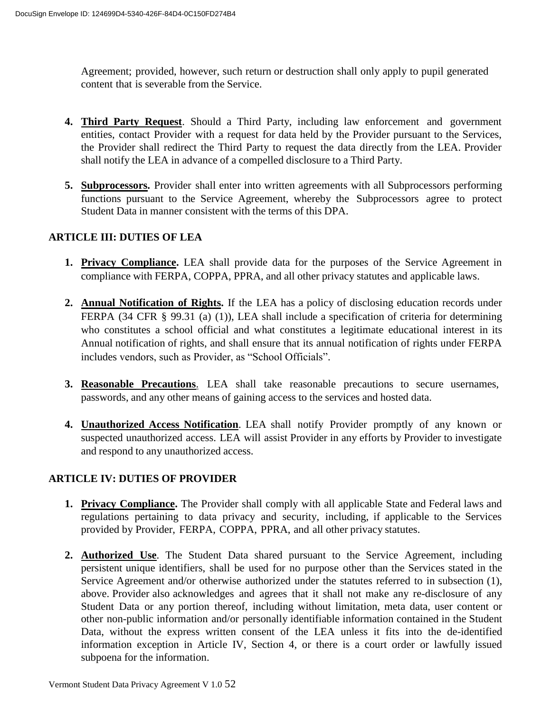Agreement; provided, however, such return or destruction shall only apply to pupil generated content that is severable from the Service.

- **4. Third Party Request**. Should a Third Party, including law enforcement and government entities, contact Provider with a request for data held by the Provider pursuant to the Services, the Provider shall redirect the Third Party to request the data directly from the LEA. Provider shall notify the LEA in advance of a compelled disclosure to a Third Party.
- **5. Subprocessors.** Provider shall enter into written agreements with all Subprocessors performing functions pursuant to the Service Agreement, whereby the Subprocessors agree to protect Student Data in manner consistent with the terms of this DPA.

#### **ARTICLE III: DUTIES OF LEA**

- **1. Privacy Compliance.** LEA shall provide data for the purposes of the Service Agreement in compliance with FERPA, COPPA, PPRA, and all other privacy statutes and applicable laws.
- **2. Annual Notification of Rights.** If the LEA has a policy of disclosing education records under FERPA (34 CFR § 99.31 (a) (1)), LEA shall include a specification of criteria for determining who constitutes a school official and what constitutes a legitimate educational interest in its Annual notification of rights, and shall ensure that its annual notification of rights under FERPA includes vendors, such as Provider, as "School Officials".
- **3. Reasonable Precautions**. LEA shall take reasonable precautions to secure usernames, passwords, and any other means of gaining access to the services and hosted data.
- **4. Unauthorized Access Notification**. LEA shall notify Provider promptly of any known or suspected unauthorized access. LEA will assist Provider in any efforts by Provider to investigate and respond to any unauthorized access.

### **ARTICLE IV: DUTIES OF PROVIDER**

- **1. Privacy Compliance.** The Provider shall comply with all applicable State and Federal laws and regulations pertaining to data privacy and security, including, if applicable to the Services provided by Provider, FERPA, COPPA, PPRA, and all other privacy statutes.
- **2. Authorized Use**. The Student Data shared pursuant to the Service Agreement, including persistent unique identifiers, shall be used for no purpose other than the Services stated in the Service Agreement and/or otherwise authorized under the statutes referred to in subsection (1), above. Provider also acknowledges and agrees that it shall not make any re-disclosure of any Student Data or any portion thereof, including without limitation, meta data, user content or other non-public information and/or personally identifiable information contained in the Student Data, without the express written consent of the LEA unless it fits into the de-identified information exception in Article IV, Section 4, or there is a court order or lawfully issued subpoena for the information.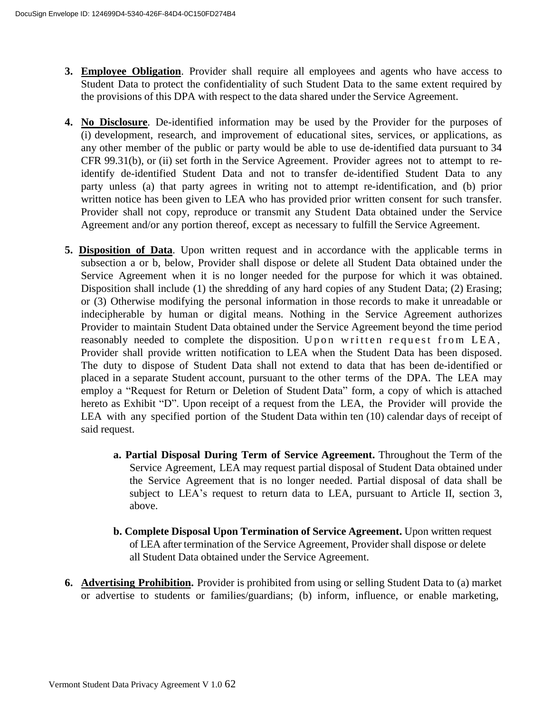- **3. Employee Obligation**. Provider shall require all employees and agents who have access to Student Data to protect the confidentiality of such Student Data to the same extent required by the provisions of this DPA with respect to the data shared under the Service Agreement.
- **4. No Disclosure**. De-identified information may be used by the Provider for the purposes of (i) development, research, and improvement of educational sites, services, or applications, as any other member of the public or party would be able to use de-identified data pursuant to 34 CFR 99.31(b), or (ii) set forth in the Service Agreement. Provider agrees not to attempt to reidentify de-identified Student Data and not to transfer de-identified Student Data to any party unless (a) that party agrees in writing not to attempt re-identification, and (b) prior written notice has been given to LEA who has provided prior written consent for such transfer. Provider shall not copy, reproduce or transmit any Student Data obtained under the Service Agreement and/or any portion thereof, except as necessary to fulfill the Service Agreement.
- **5. Disposition of Data**. Upon written request and in accordance with the applicable terms in subsection a or b, below, Provider shall dispose or delete all Student Data obtained under the Service Agreement when it is no longer needed for the purpose for which it was obtained. Disposition shall include (1) the shredding of any hard copies of any Student Data; (2) Erasing; or (3) Otherwise modifying the personal information in those records to make it unreadable or indecipherable by human or digital means. Nothing in the Service Agreement authorizes Provider to maintain Student Data obtained under the Service Agreement beyond the time period reasonably needed to complete the disposition. Upon written request from LEA, Provider shall provide written notification to LEA when the Student Data has been disposed. The duty to dispose of Student Data shall not extend to data that has been de-identified or placed in a separate Student account, pursuant to the other terms of the DPA. The LEA may employ a "Request for Return or Deletion of Student Data" form, a copy of which is attached hereto as Exhibit "D". Upon receipt of a request from the LEA, the Provider will provide the LEA with any specified portion of the Student Data within ten (10) calendar days of receipt of said request.
	- **a. Partial Disposal During Term of Service Agreement.** Throughout the Term of the Service Agreement, LEA may request partial disposal of Student Data obtained under the Service Agreement that is no longer needed. Partial disposal of data shall be subject to LEA's request to return data to LEA, pursuant to Article II, section 3, above.
	- **b. Complete Disposal Upon Termination of Service Agreement.** Upon written request of LEA after termination of the Service Agreement, Provider shall dispose or delete all Student Data obtained under the Service Agreement.
- **6. Advertising Prohibition.** Provider is prohibited from using or selling Student Data to (a) market or advertise to students or families/guardians; (b) inform, influence, or enable marketing,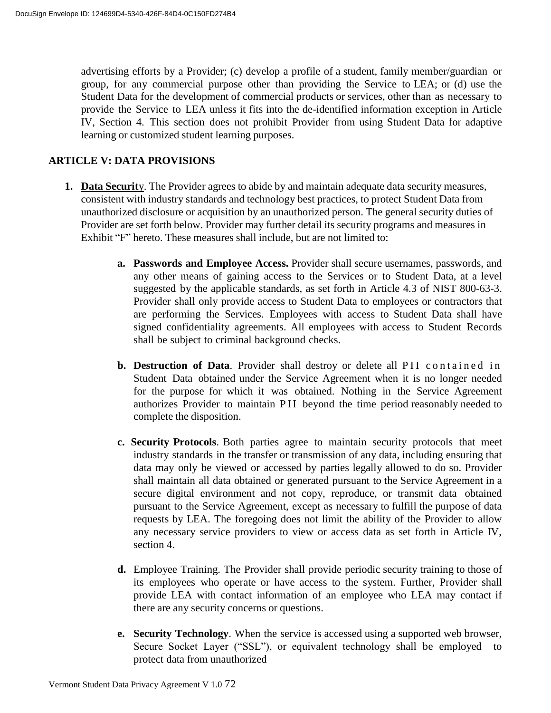advertising efforts by a Provider; (c) develop a profile of a student, family member/guardian or group, for any commercial purpose other than providing the Service to LEA; or (d) use the Student Data for the development of commercial products or services, other than as necessary to provide the Service to LEA unless it fits into the de-identified information exception in Article IV, Section 4. This section does not prohibit Provider from using Student Data for adaptive learning or customized student learning purposes.

## **ARTICLE V: DATA PROVISIONS**

- **1. Data Securit**y. The Provider agrees to abide by and maintain adequate data security measures, consistent with industry standards and technology best practices, to protect Student Data from unauthorized disclosure or acquisition by an unauthorized person. The general security duties of Provider are set forth below. Provider may further detail its security programs and measures in Exhibit "F" hereto. These measures shall include, but are not limited to:
	- **a. Passwords and Employee Access.** Provider shall secure usernames, passwords, and any other means of gaining access to the Services or to Student Data, at a level suggested by the applicable standards, as set forth in Article 4.3 of NIST 800-63-3. Provider shall only provide access to Student Data to employees or contractors that are performing the Services. Employees with access to Student Data shall have signed confidentiality agreements. All employees with access to Student Records shall be subject to criminal background checks.
	- **b.** Destruction of Data. Provider shall destroy or delete all PII contained in Student Data obtained under the Service Agreement when it is no longer needed for the purpose for which it was obtained. Nothing in the Service Agreement authorizes Provider to maintain PII beyond the time period reasonably needed to complete the disposition.
	- **c. Security Protocols**. Both parties agree to maintain security protocols that meet industry standards in the transfer or transmission of any data, including ensuring that data may only be viewed or accessed by parties legally allowed to do so. Provider shall maintain all data obtained or generated pursuant to the Service Agreement in a secure digital environment and not copy, reproduce, or transmit data obtained pursuant to the Service Agreement, except as necessary to fulfill the purpose of data requests by LEA. The foregoing does not limit the ability of the Provider to allow any necessary service providers to view or access data as set forth in Article IV, section 4.
	- **d.** Employee Training. The Provider shall provide periodic security training to those of its employees who operate or have access to the system. Further, Provider shall provide LEA with contact information of an employee who LEA may contact if there are any security concerns or questions.
	- **e. Security Technology**. When the service is accessed using a supported web browser, Secure Socket Layer ("SSL"), or equivalent technology shall be employed to protect data from unauthorized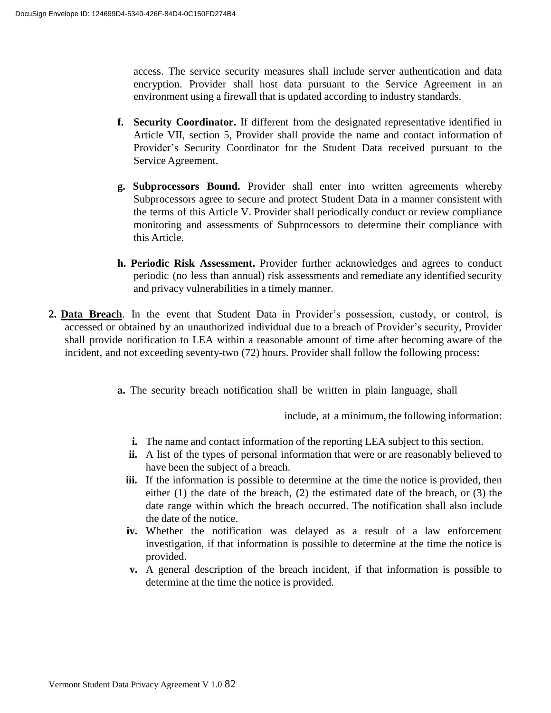access. The service security measures shall include server authentication and data encryption. Provider shall host data pursuant to the Service Agreement in an environment using a firewall that is updated according to industry standards.

- **f. Security Coordinator.** If different from the designated representative identified in Article VII, section 5, Provider shall provide the name and contact information of Provider's Security Coordinator for the Student Data received pursuant to the Service Agreement.
- **g. Subprocessors Bound.** Provider shall enter into written agreements whereby Subprocessors agree to secure and protect Student Data in a manner consistent with the terms of this Article V. Provider shall periodically conduct or review compliance monitoring and assessments of Subprocessors to determine their compliance with this Article.
- **h. Periodic Risk Assessment.** Provider further acknowledges and agrees to conduct periodic (no less than annual) risk assessments and remediate any identified security and privacy vulnerabilities in a timely manner.
- **2. Data Breach**. In the event that Student Data in Provider's possession, custody, or control, is accessed or obtained by an unauthorized individual due to a breach of Provider's security, Provider shall provide notification to LEA within a reasonable amount of time after becoming aware of the incident, and not exceeding seventy-two (72) hours. Provider shall follow the following process:
	- **a.** The security breach notification shall be written in plain language, shall

include, at a minimum, the following information:

- **i.** The name and contact information of the reporting LEA subject to this section.
- **ii.** A list of the types of personal information that were or are reasonably believed to have been the subject of a breach.
- iii. If the information is possible to determine at the time the notice is provided, then either  $(1)$  the date of the breach,  $(2)$  the estimated date of the breach, or  $(3)$  the date range within which the breach occurred. The notification shall also include the date of the notice.
- **iv.** Whether the notification was delayed as a result of a law enforcement investigation, if that information is possible to determine at the time the notice is provided.
- **v.** A general description of the breach incident, if that information is possible to determine at the time the notice is provided.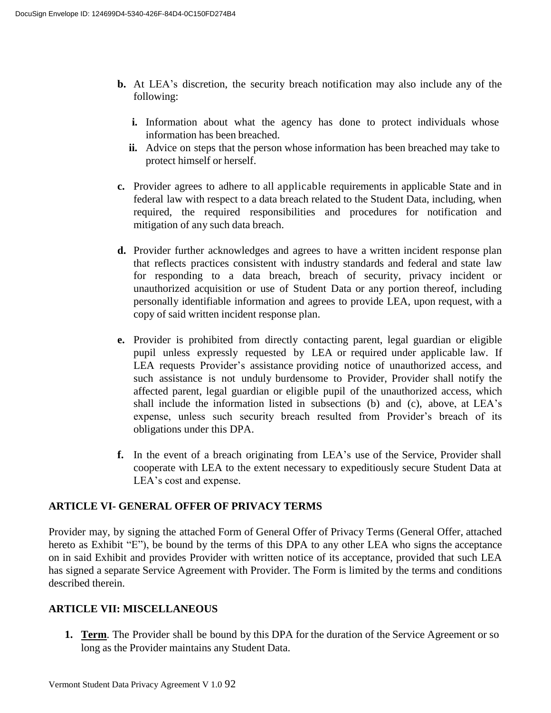- **b.** At LEA's discretion, the security breach notification may also include any of the following:
	- **i.** Information about what the agency has done to protect individuals whose information has been breached.
	- **ii.** Advice on steps that the person whose information has been breached may take to protect himself or herself.
- **c.** Provider agrees to adhere to all applicable requirements in applicable State and in federal law with respect to a data breach related to the Student Data, including, when required, the required responsibilities and procedures for notification and mitigation of any such data breach.
- **d.** Provider further acknowledges and agrees to have a written incident response plan that reflects practices consistent with industry standards and federal and state law for responding to a data breach, breach of security, privacy incident or unauthorized acquisition or use of Student Data or any portion thereof, including personally identifiable information and agrees to provide LEA, upon request, with a copy of said written incident response plan.
- **e.** Provider is prohibited from directly contacting parent, legal guardian or eligible pupil unless expressly requested by LEA or required under applicable law. If LEA requests Provider's assistance providing notice of unauthorized access, and such assistance is not unduly burdensome to Provider, Provider shall notify the affected parent, legal guardian or eligible pupil of the unauthorized access, which shall include the information listed in subsections (b) and (c), above, at LEA's expense, unless such security breach resulted from Provider's breach of its obligations under this DPA.
- **f.** In the event of a breach originating from LEA's use of the Service, Provider shall cooperate with LEA to the extent necessary to expeditiously secure Student Data at LEA's cost and expense.

### **ARTICLE VI- GENERAL OFFER OF PRIVACY TERMS**

Provider may, by signing the attached Form of General Offer of Privacy Terms (General Offer, attached hereto as Exhibit "E"), be bound by the terms of this DPA to any other LEA who signs the acceptance on in said Exhibit and provides Provider with written notice of its acceptance, provided that such LEA has signed a separate Service Agreement with Provider. The Form is limited by the terms and conditions described therein.

### **ARTICLE VII: MISCELLANEOUS**

**1. Term**. The Provider shall be bound by this DPA for the duration of the Service Agreement or so long as the Provider maintains any Student Data.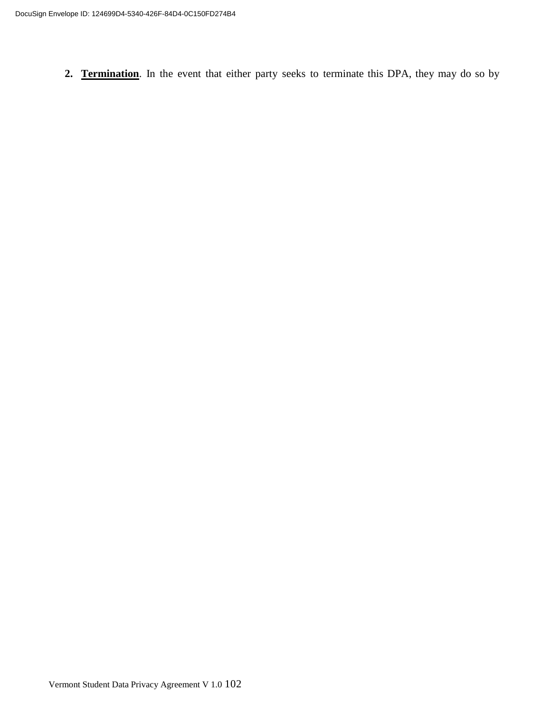**2. Termination**. In the event that either party seeks to terminate this DPA, they may do so by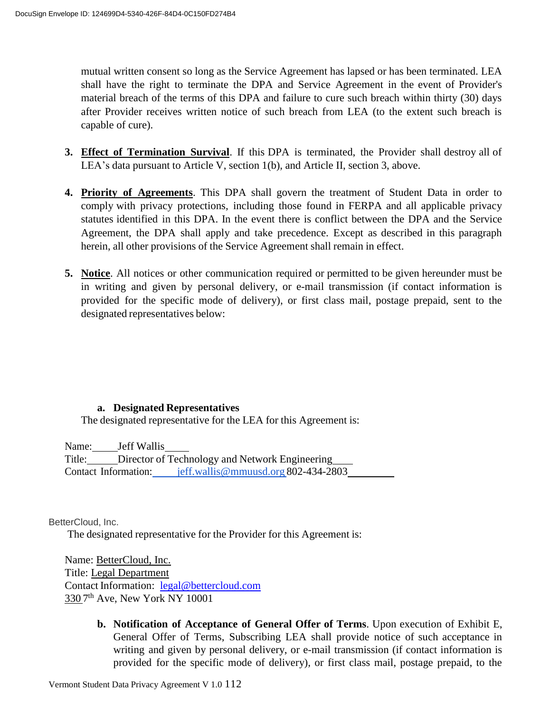mutual written consent so long as the Service Agreement has lapsed or has been terminated. LEA shall have the right to terminate the DPA and Service Agreement in the event of Provider's material breach of the terms of this DPA and failure to cure such breach within thirty (30) days after Provider receives written notice of such breach from LEA (to the extent such breach is capable of cure).

- **3. Effect of Termination Survival**. If this DPA is terminated, the Provider shall destroy all of LEA's data pursuant to Article V, section 1(b), and Article II, section 3, above.
- **4. Priority of Agreements**. This DPA shall govern the treatment of Student Data in order to comply with privacy protections, including those found in FERPA and all applicable privacy statutes identified in this DPA. In the event there is conflict between the DPA and the Service Agreement, the DPA shall apply and take precedence. Except as described in this paragraph herein, all other provisions of the Service Agreement shall remain in effect.
- **5. Notice**. All notices or other communication required or permitted to be given hereunder must be in writing and given by personal delivery, or e-mail transmission (if contact information is provided for the specific mode of delivery), or first class mail, postage prepaid, sent to the designated representatives below:

#### **a. Designated Representatives**

The designated representative for the LEA for this Agreement is:

Name: Jeff Wallis Title: Director of Technology and Network Engineering Contact Information: [jeff.wallis@mmuusd.org](mailto:___jeff.wallis@mmuusd.org) 802-434-2803

BetterCloud, Inc.

The designated representative for the Provider for this Agreement is:

Name: BetterCloud, Inc. Title: Legal Department Contact Information: [legal@bettercloud.com](mailto:legal@bettercloud.com) 3307<sup>th</sup> Ave, New York NY 10001

> **b. Notification of Acceptance of General Offer of Terms**. Upon execution of Exhibit E, General Offer of Terms, Subscribing LEA shall provide notice of such acceptance in writing and given by personal delivery, or e-mail transmission (if contact information is provided for the specific mode of delivery), or first class mail, postage prepaid, to the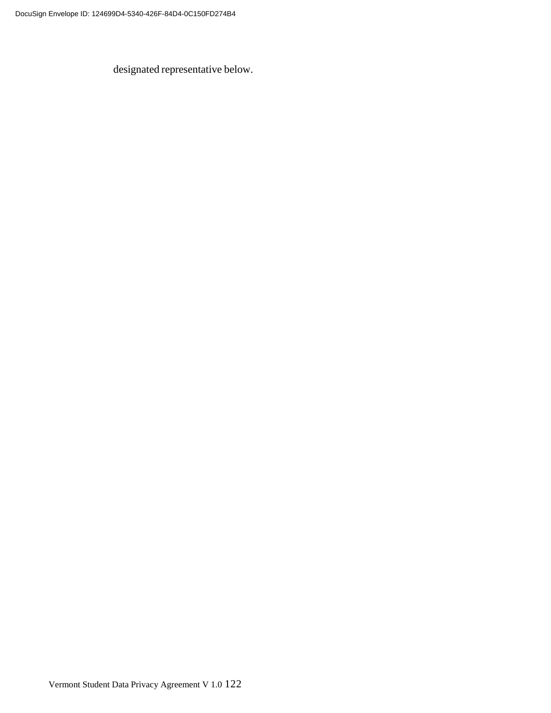designated representative below.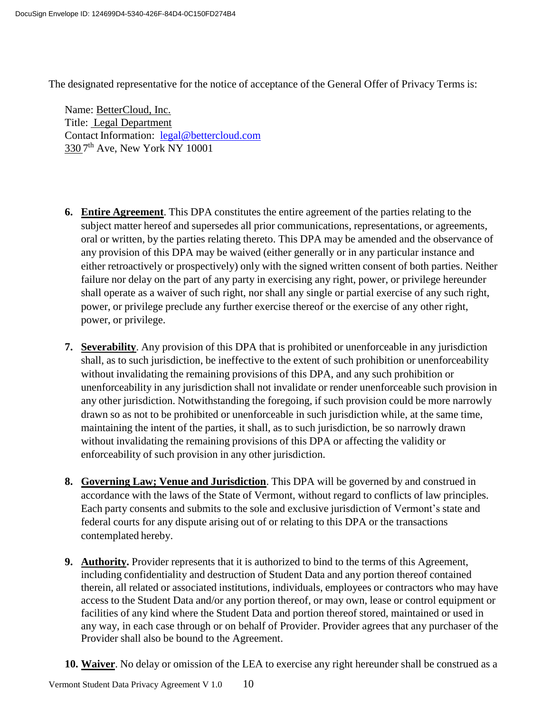The designated representative for the notice of acceptance of the General Offer of Privacy Terms is:

Name: BetterCloud, Inc. Title: Legal Department Contact Information: [legal@bettercloud.com](mailto:legal@bettercloud.com) 3307<sup>th</sup> Ave, New York NY 10001

- **6. Entire Agreement**. This DPA constitutes the entire agreement of the parties relating to the subject matter hereof and supersedes all prior communications, representations, or agreements, oral or written, by the parties relating thereto. This DPA may be amended and the observance of any provision of this DPA may be waived (either generally or in any particular instance and either retroactively or prospectively) only with the signed written consent of both parties. Neither failure nor delay on the part of any party in exercising any right, power, or privilege hereunder shall operate as a waiver of such right, nor shall any single or partial exercise of any such right, power, or privilege preclude any further exercise thereof or the exercise of any other right, power, or privilege.
- **7. Severability**. Any provision of this DPA that is prohibited or unenforceable in any jurisdiction shall, as to such jurisdiction, be ineffective to the extent of such prohibition or unenforceability without invalidating the remaining provisions of this DPA, and any such prohibition or unenforceability in any jurisdiction shall not invalidate or render unenforceable such provision in any other jurisdiction. Notwithstanding the foregoing, if such provision could be more narrowly drawn so as not to be prohibited or unenforceable in such jurisdiction while, at the same time, maintaining the intent of the parties, it shall, as to such jurisdiction, be so narrowly drawn without invalidating the remaining provisions of this DPA or affecting the validity or enforceability of such provision in any other jurisdiction.
- **8. Governing Law; Venue and Jurisdiction**. This DPA will be governed by and construed in accordance with the laws of the State of Vermont, without regard to conflicts of law principles. Each party consents and submits to the sole and exclusive jurisdiction of Vermont's state and federal courts for any dispute arising out of or relating to this DPA or the transactions contemplated hereby.
- **9. Authority.** Provider represents that it is authorized to bind to the terms of this Agreement, including confidentiality and destruction of Student Data and any portion thereof contained therein, all related or associated institutions, individuals, employees or contractors who may have access to the Student Data and/or any portion thereof, or may own, lease or control equipment or facilities of any kind where the Student Data and portion thereof stored, maintained or used in any way, in each case through or on behalf of Provider. Provider agrees that any purchaser of the Provider shall also be bound to the Agreement.
- **10. Waiver**. No delay or omission of the LEA to exercise any right hereunder shall be construed as a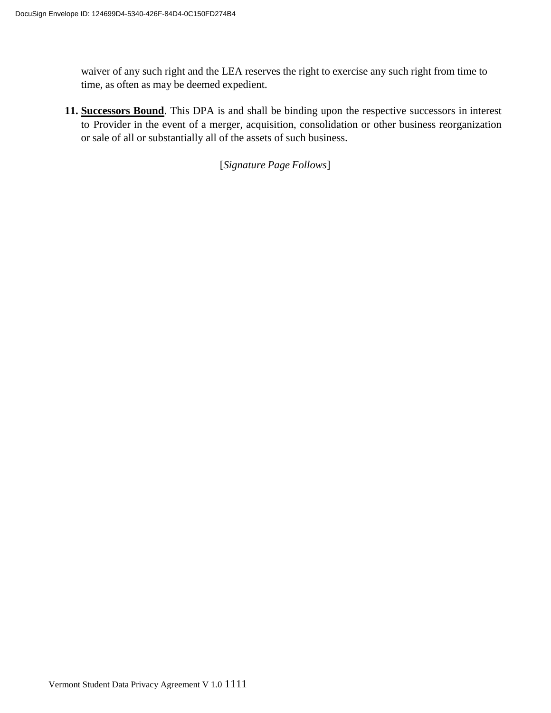waiver of any such right and the LEA reserves the right to exercise any such right from time to time, as often as may be deemed expedient.

**11. Successors Bound**. This DPA is and shall be binding upon the respective successors in interest to Provider in the event of a merger, acquisition, consolidation or other business reorganization or sale of all or substantially all of the assets of such business.

[*Signature Page Follows*]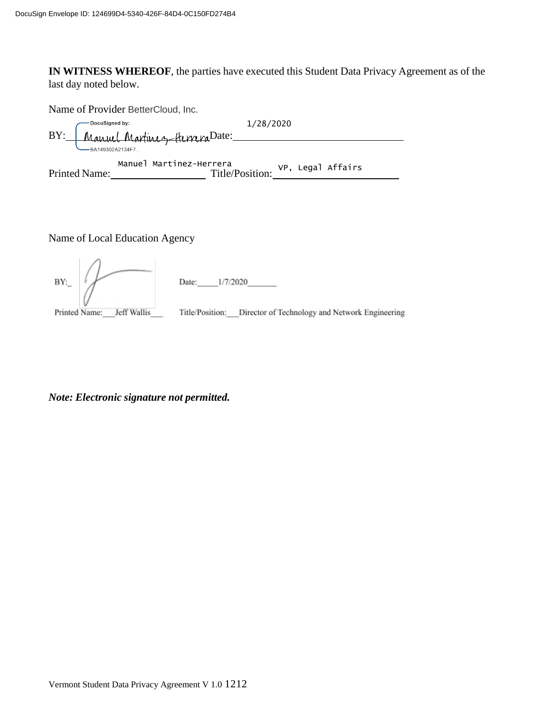**IN WITNESS WHEREOF**, the parties have executed this Student Data Privacy Agreement as of the last day noted below.

Name of Provider BetterCloud, Inc.

| -DocuSigned by:      |                                            | 1/28/2020         |
|----------------------|--------------------------------------------|-------------------|
| BY:                  | Manuel Martinez-Herrera Date:              |                   |
| -BA149302A2134F7     |                                            |                   |
| <b>Printed Name:</b> | Manuel Martinez-Herrera<br>Title/Position: | VP, Legal Affairs |

Name of Local Education Agency

 $BY:$ Date: $\frac{1}{7/2020}$ Printed Name: Jeff Wallis Title/Position: Director of Technology and Network Engineering

*Note: Electronic signature not permitted.*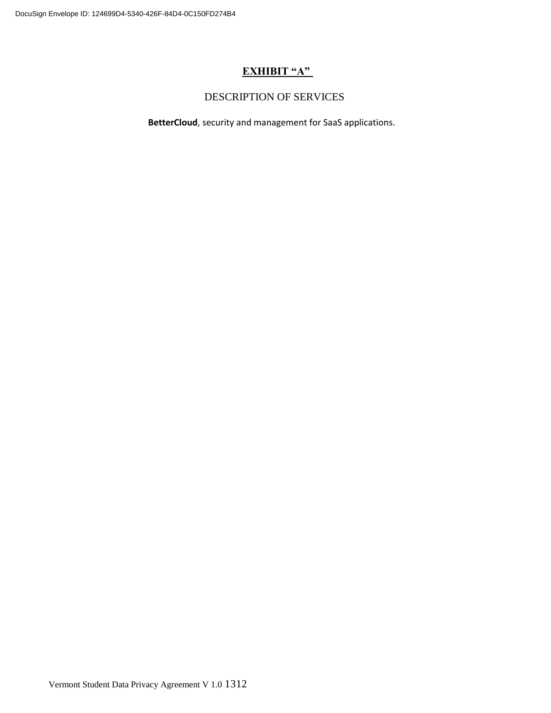# **EXHIBIT "A"**

# DESCRIPTION OF SERVICES

**BetterCloud**, security and management for SaaS applications.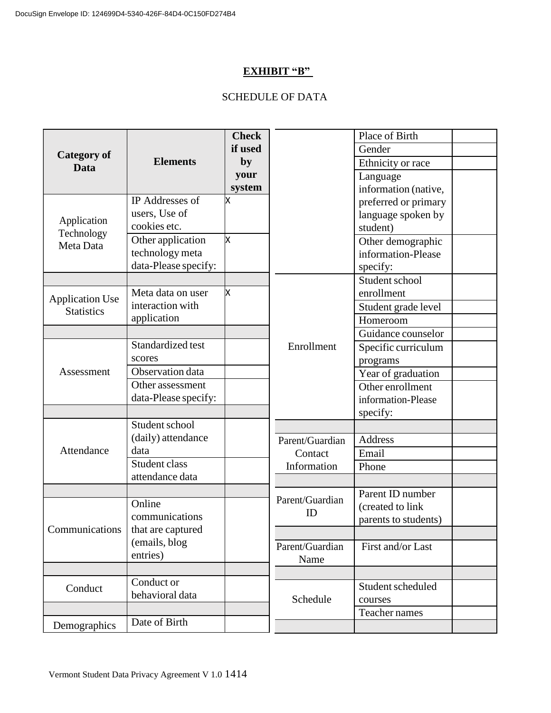# **EXHIBIT "B"**

# SCHEDULE OF DATA

| <b>Category of</b><br>Data | <b>Elements</b>      | <b>Check</b> |                       | Place of Birth       |  |
|----------------------------|----------------------|--------------|-----------------------|----------------------|--|
|                            |                      | if used      |                       | Gender               |  |
|                            |                      | by           |                       | Ethnicity or race    |  |
|                            |                      | your         |                       | Language             |  |
|                            |                      | system       |                       | information (native, |  |
|                            | IP Addresses of      | х            |                       | preferred or primary |  |
| Application                | users, Use of        |              |                       | language spoken by   |  |
| Technology                 | cookies etc.         |              |                       | student)             |  |
| Meta Data                  | Other application    | X            |                       | Other demographic    |  |
|                            | technology meta      |              |                       | information-Please   |  |
|                            | data-Please specify: |              |                       | specify:             |  |
|                            |                      |              |                       | Student school       |  |
| <b>Application Use</b>     | Meta data on user    | X            |                       | enrollment           |  |
| <b>Statistics</b>          | interaction with     |              |                       | Student grade level  |  |
|                            | application          |              |                       | Homeroom             |  |
|                            |                      |              |                       | Guidance counselor   |  |
|                            | Standardized test    |              | Enrollment            | Specific curriculum  |  |
|                            | scores               |              |                       | programs             |  |
| Assessment                 | Observation data     |              |                       | Year of graduation   |  |
|                            | Other assessment     |              |                       | Other enrollment     |  |
|                            | data-Please specify: |              |                       | information-Please   |  |
|                            |                      |              |                       | specify:             |  |
|                            | Student school       |              |                       |                      |  |
|                            | (daily) attendance   |              | Parent/Guardian       | <b>Address</b>       |  |
| Attendance                 | data                 |              | Contact               | Email                |  |
|                            | Student class        |              | Information           | Phone                |  |
|                            | attendance data      |              |                       |                      |  |
|                            |                      |              |                       | Parent ID number     |  |
| Communications             | Online               |              | Parent/Guardian<br>ID | (created to link     |  |
|                            | communications       |              |                       | parents to students) |  |
|                            | that are captured    |              |                       |                      |  |
|                            | (emails, blog        |              | Parent/Guardian       | First and/or Last    |  |
|                            | entries)             |              | Name                  |                      |  |
|                            |                      |              |                       |                      |  |
| Conduct                    | Conduct or           |              | Schedule              | Student scheduled    |  |
|                            | behavioral data      |              |                       | courses              |  |
|                            |                      |              |                       | Teacher names        |  |
| Demographics               | Date of Birth        |              |                       |                      |  |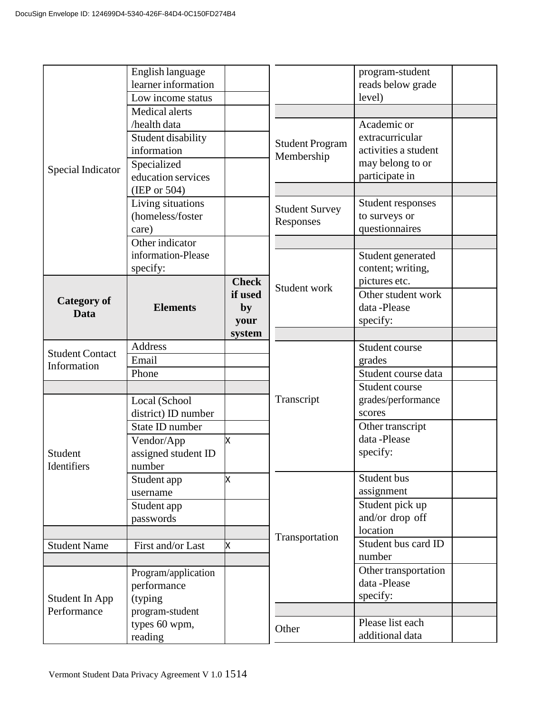| Special Indicator                 | English language<br>learner information<br>Low income status<br><b>Medical alerts</b><br>/health data<br>Student disability<br>information<br>Specialized<br>education services<br>(IEP or 504) |                                 | <b>Student Program</b><br>Membership | program-student<br>reads below grade<br>level)<br>Academic or<br>extracurricular<br>activities a student<br>may belong to or<br>participate in |  |
|-----------------------------------|-------------------------------------------------------------------------------------------------------------------------------------------------------------------------------------------------|---------------------------------|--------------------------------------|------------------------------------------------------------------------------------------------------------------------------------------------|--|
|                                   | Living situations<br>(homeless/foster<br>care)<br>Other indicator                                                                                                                               |                                 | <b>Student Survey</b><br>Responses   | Student responses<br>to surveys or<br>questionnaires                                                                                           |  |
|                                   | information-Please<br>specify:                                                                                                                                                                  | <b>Check</b>                    |                                      | Student generated<br>content; writing,<br>pictures etc.                                                                                        |  |
| <b>Category of</b><br><b>Data</b> | <b>Elements</b>                                                                                                                                                                                 | if used<br>by<br>your<br>system | Student work                         | Other student work<br>data-Please<br>specify:                                                                                                  |  |
| <b>Student Contact</b>            | Address                                                                                                                                                                                         |                                 |                                      | Student course                                                                                                                                 |  |
| Information                       | Email                                                                                                                                                                                           |                                 |                                      | grades                                                                                                                                         |  |
|                                   | Phone                                                                                                                                                                                           |                                 |                                      | Student course data                                                                                                                            |  |
|                                   |                                                                                                                                                                                                 |                                 |                                      | Student course                                                                                                                                 |  |
|                                   | Local (School                                                                                                                                                                                   |                                 | Transcript                           | grades/performance                                                                                                                             |  |
|                                   | district) ID number                                                                                                                                                                             |                                 |                                      | scores                                                                                                                                         |  |
|                                   | State ID number                                                                                                                                                                                 |                                 |                                      | Other transcript<br>data-Please                                                                                                                |  |
| Student<br>Identifiers            | Vendor/App<br>assigned student ID<br>number                                                                                                                                                     | X                               |                                      | specify:                                                                                                                                       |  |
|                                   | Student app                                                                                                                                                                                     | X                               |                                      | Student bus<br>assignment                                                                                                                      |  |
|                                   | username                                                                                                                                                                                        |                                 |                                      | Student pick up                                                                                                                                |  |
|                                   | Student app<br>passwords                                                                                                                                                                        |                                 |                                      | and/or drop off                                                                                                                                |  |
|                                   |                                                                                                                                                                                                 |                                 |                                      | location                                                                                                                                       |  |
| <b>Student Name</b>               | First and/or Last                                                                                                                                                                               | X                               | Transportation                       | Student bus card ID                                                                                                                            |  |
|                                   |                                                                                                                                                                                                 |                                 |                                      | number                                                                                                                                         |  |
| Student In App<br>Performance     | Program/application                                                                                                                                                                             |                                 |                                      | Other transportation                                                                                                                           |  |
|                                   | performance                                                                                                                                                                                     |                                 |                                      | data-Please                                                                                                                                    |  |
|                                   | (typing)                                                                                                                                                                                        |                                 |                                      | specify:                                                                                                                                       |  |
|                                   | program-student                                                                                                                                                                                 |                                 |                                      |                                                                                                                                                |  |
|                                   | types 60 wpm,<br>reading                                                                                                                                                                        |                                 | Other                                | Please list each<br>additional data                                                                                                            |  |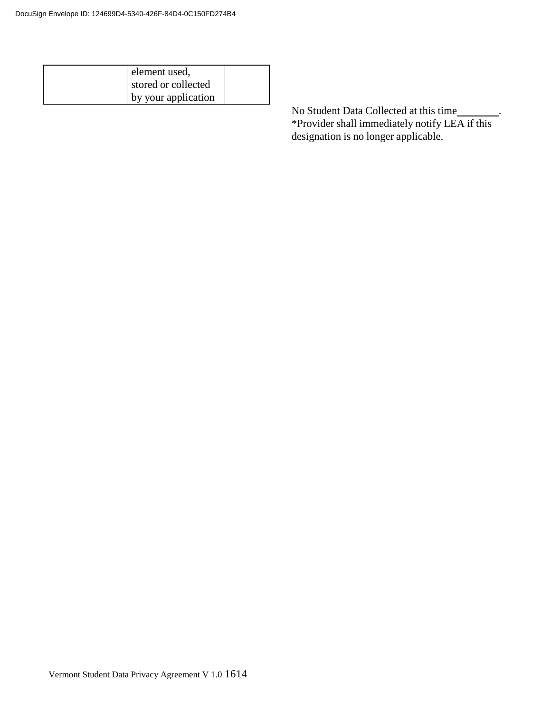| element used,       |  |
|---------------------|--|
| stored or collected |  |
| by your application |  |

No Student Data Collected at this time\_\_\_\_\_\_\_. \*Provider shall immediately notify LEA if this designation is no longer applicable.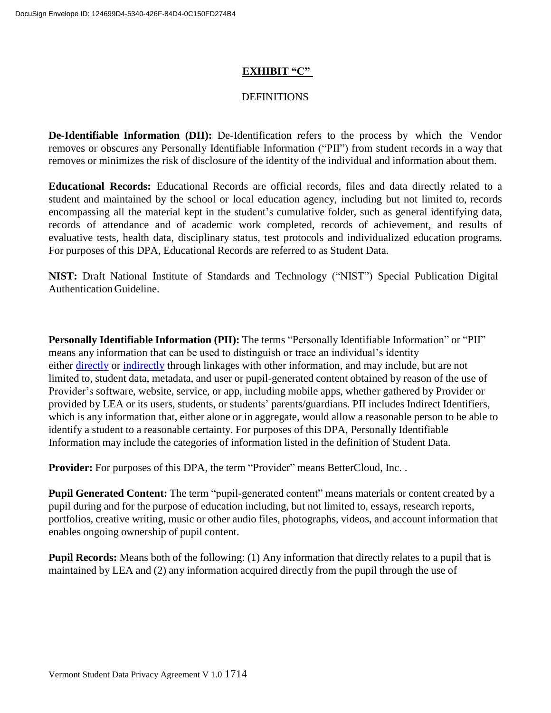## **EXHIBIT "C"**

## **DEFINITIONS**

**De-Identifiable Information (DII):** De-Identification refers to the process by which the Vendor removes or obscures any Personally Identifiable Information ("PII") from student records in a way that removes or minimizes the risk of disclosure of the identity of the individual and information about them.

**Educational Records:** Educational Records are official records, files and data directly related to a student and maintained by the school or local education agency, including but not limited to, records encompassing all the material kept in the student's cumulative folder, such as general identifying data, records of attendance and of academic work completed, records of achievement, and results of evaluative tests, health data, disciplinary status, test protocols and individualized education programs. For purposes of this DPA, Educational Records are referred to as Student Data.

**NIST:** Draft National Institute of Standards and Technology ("NIST") Special Publication Digital Authentication Guideline.

**Personally Identifiable Information (PII):** The terms "Personally Identifiable Information" or "PII" means any information that can be used to distinguish or trace an individual's identity either [directly](https://studentprivacy.ed.gov/glossary#glossary-node-210) or [indirectly](https://studentprivacy.ed.gov/glossary#glossary-node-227) through linkages with other information, and may include, but are not limited to, student data, metadata, and user or pupil-generated content obtained by reason of the use of Provider's software, website, service, or app, including mobile apps, whether gathered by Provider or provided by LEA or its users, students, or students' parents/guardians. PII includes Indirect Identifiers, which is any information that, either alone or in aggregate, would allow a reasonable person to be able to identify a student to a reasonable certainty. For purposes of this DPA, Personally Identifiable Information may include the categories of information listed in the definition of Student Data.

**Provider:** For purposes of this DPA, the term "Provider" means BetterCloud, Inc..

**Pupil Generated Content:** The term "pupil-generated content" means materials or content created by a pupil during and for the purpose of education including, but not limited to, essays, research reports, portfolios, creative writing, music or other audio files, photographs, videos, and account information that enables ongoing ownership of pupil content.

**Pupil Records:** Means both of the following: (1) Any information that directly relates to a pupil that is maintained by LEA and (2) any information acquired directly from the pupil through the use of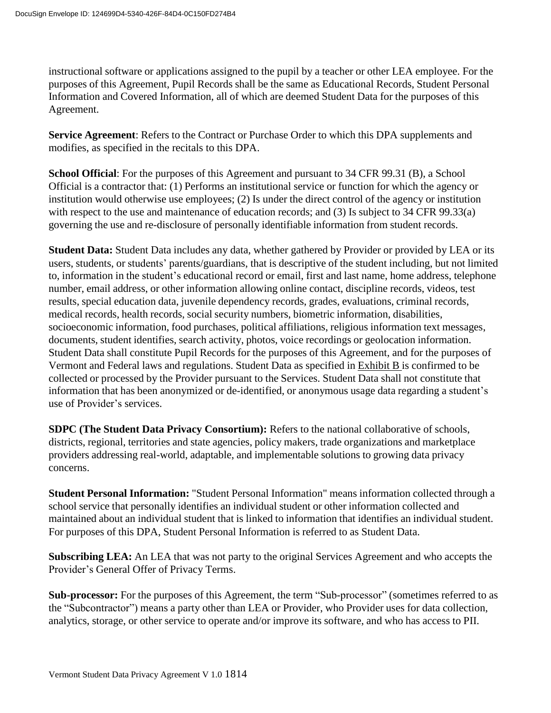instructional software or applications assigned to the pupil by a teacher or other LEA employee. For the purposes of this Agreement, Pupil Records shall be the same as Educational Records, Student Personal Information and Covered Information, all of which are deemed Student Data for the purposes of this Agreement.

**Service Agreement**: Refers to the Contract or Purchase Order to which this DPA supplements and modifies, as specified in the recitals to this DPA.

**School Official**: For the purposes of this Agreement and pursuant to 34 CFR 99.31 (B), a School Official is a contractor that: (1) Performs an institutional service or function for which the agency or institution would otherwise use employees; (2) Is under the direct control of the agency or institution with respect to the use and maintenance of education records; and (3) Is subject to 34 CFR 99.33(a) governing the use and re-disclosure of personally identifiable information from student records.

**Student Data:** Student Data includes any data, whether gathered by Provider or provided by LEA or its users, students, or students' parents/guardians, that is descriptive of the student including, but not limited to, information in the student's educational record or email, first and last name, home address, telephone number, email address, or other information allowing online contact, discipline records, videos, test results, special education data, juvenile dependency records, grades, evaluations, criminal records, medical records, health records, social security numbers, biometric information, disabilities, socioeconomic information, food purchases, political affiliations, religious information text messages, documents, student identifies, search activity, photos, voice recordings or geolocation information. Student Data shall constitute Pupil Records for the purposes of this Agreement, and for the purposes of Vermont and Federal laws and regulations. Student Data as specified in Exhibit B is confirmed to be collected or processed by the Provider pursuant to the Services. Student Data shall not constitute that information that has been anonymized or de-identified, or anonymous usage data regarding a student's use of Provider's services.

**SDPC (The Student Data Privacy Consortium):** Refers to the national collaborative of schools, districts, regional, territories and state agencies, policy makers, trade organizations and marketplace providers addressing real-world, adaptable, and implementable solutions to growing data privacy concerns.

**Student Personal Information:** "Student Personal Information" means information collected through a school service that personally identifies an individual student or other information collected and maintained about an individual student that is linked to information that identifies an individual student. For purposes of this DPA, Student Personal Information is referred to as Student Data.

**Subscribing LEA:** An LEA that was not party to the original Services Agreement and who accepts the Provider's General Offer of Privacy Terms.

**Sub-processor:** For the purposes of this Agreement, the term "Sub-processor" (sometimes referred to as the "Subcontractor") means a party other than LEA or Provider, who Provider uses for data collection, analytics, storage, or other service to operate and/or improve its software, and who has access to PII.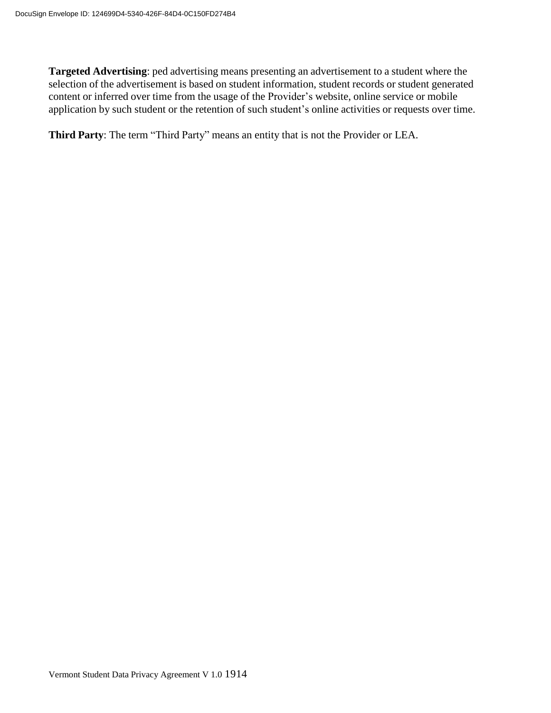**Targeted Advertising**: ped advertising means presenting an advertisement to a student where the selection of the advertisement is based on student information, student records or student generated content or inferred over time from the usage of the Provider's website, online service or mobile application by such student or the retention of such student's online activities or requests over time.

**Third Party**: The term "Third Party" means an entity that is not the Provider or LEA.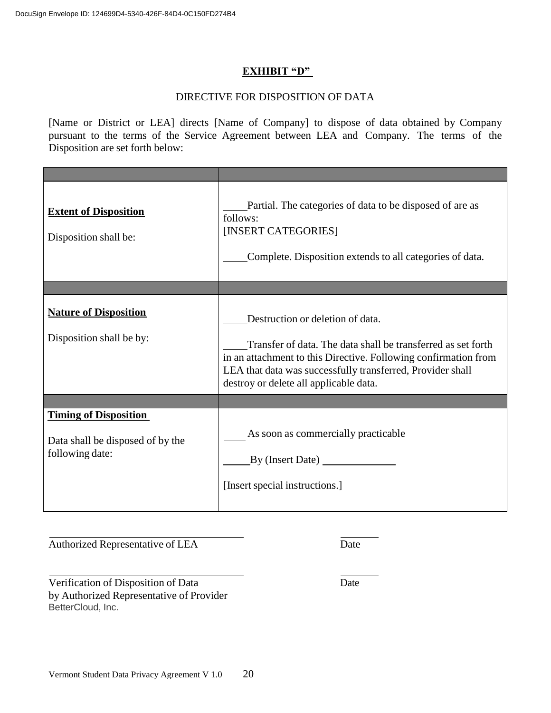#### **EXHIBIT "D"**

#### DIRECTIVE FOR DISPOSITION OF DATA

[Name or District or LEA] directs [Name of Company] to dispose of data obtained by Company pursuant to the terms of the Service Agreement between LEA and Company. The terms of the Disposition are set forth below:

| <b>Extent of Disposition</b><br>Disposition shall be:                               | Partial. The categories of data to be disposed of are as<br>follows:<br>[INSERT CATEGORIES]<br>Complete. Disposition extends to all categories of data.                                                                                                                     |
|-------------------------------------------------------------------------------------|-----------------------------------------------------------------------------------------------------------------------------------------------------------------------------------------------------------------------------------------------------------------------------|
|                                                                                     |                                                                                                                                                                                                                                                                             |
| <b>Nature of Disposition</b><br>Disposition shall be by:                            | Destruction or deletion of data.<br>Transfer of data. The data shall be transferred as set forth<br>in an attachment to this Directive. Following confirmation from<br>LEA that data was successfully transferred, Provider shall<br>destroy or delete all applicable data. |
|                                                                                     |                                                                                                                                                                                                                                                                             |
| <b>Timing of Disposition</b><br>Data shall be disposed of by the<br>following date: | As soon as commercially practicable<br>By (Insert Date)<br>[Insert special instructions.]                                                                                                                                                                                   |

Authorized Representative of LEA Date

**Verification of Disposition of Data** Date by Authorized Representative of Provider BetterCloud, Inc.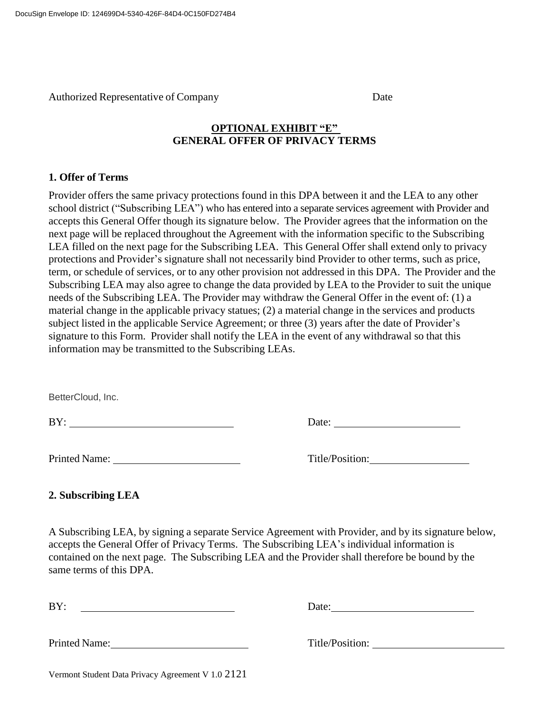Authorized Representative of Company **Date** Date

## **OPTIONAL EXHIBIT "E" GENERAL OFFER OF PRIVACY TERMS**

#### **1. Offer of Terms**

Provider offers the same privacy protections found in this DPA between it and the LEA to any other school district ("Subscribing LEA") who has entered into a separate services agreement with Provider and accepts this General Offer though its signature below. The Provider agrees that the information on the next page will be replaced throughout the Agreement with the information specific to the Subscribing LEA filled on the next page for the Subscribing LEA. This General Offer shall extend only to privacy protections and Provider's signature shall not necessarily bind Provider to other terms, such as price, term, or schedule of services, or to any other provision not addressed in this DPA. The Provider and the Subscribing LEA may also agree to change the data provided by LEA to the Provider to suit the unique needs of the Subscribing LEA. The Provider may withdraw the General Offer in the event of: (1) a material change in the applicable privacy statues; (2) a material change in the services and products subject listed in the applicable Service Agreement; or three (3) years after the date of Provider's signature to this Form. Provider shall notify the LEA in the event of any withdrawal so that this information may be transmitted to the Subscribing LEAs.

BetterCloud, Inc.

BY: Date: Date:

Printed Name: Name: Name: Title/Position: Title/Position:

### **2. Subscribing LEA**

A Subscribing LEA, by signing a separate Service Agreement with Provider, and by its signature below, accepts the General Offer of Privacy Terms. The Subscribing LEA's individual information is contained on the next page. The Subscribing LEA and the Provider shall therefore be bound by the same terms of this DPA.

BY: Date: Date:

Printed Name: Title/Position:

Vermont Student Data Privacy Agreement V 1.0 2121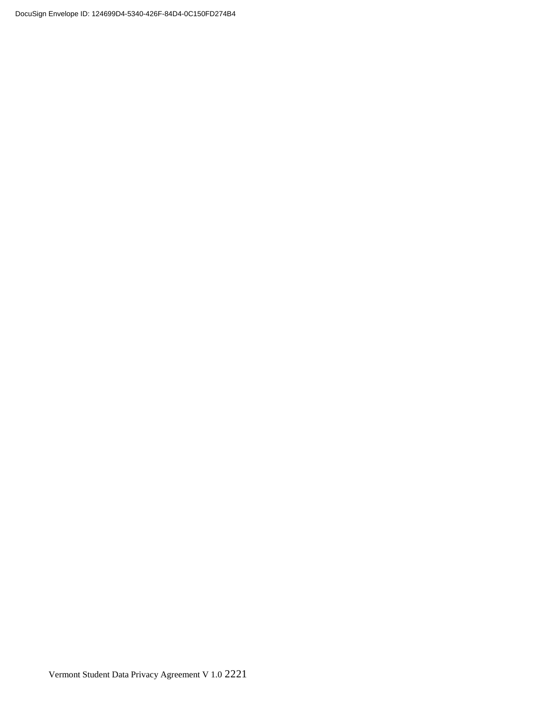DocuSign Envelope ID: 124699D4-5340-426F-84D4-0C150FD274B4